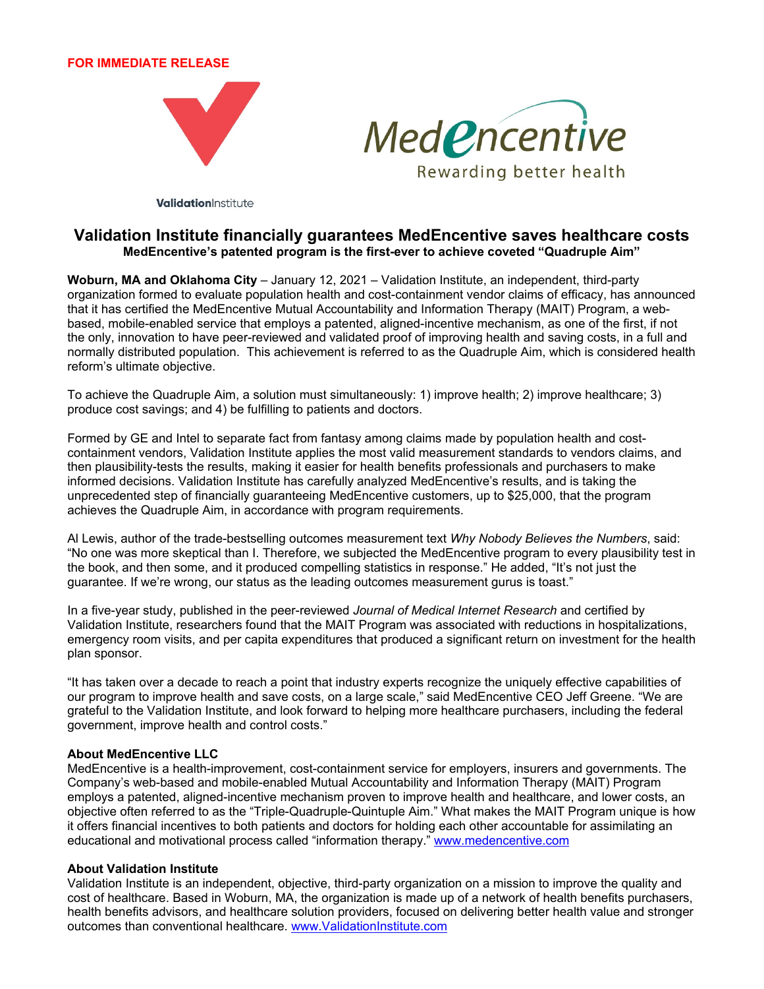## **FOR IMMEDIATE RELEASE**





ValidationInstitute

## **Validation Institute financially guarantees MedEncentive saves healthcare costs MedEncentive's patented program is the first-ever to achieve coveted "Quadruple Aim"**

**Woburn, MA and Oklahoma City** – January 12, 2021 – Validation Institute, an independent, third-party organization formed to evaluate population health and cost-containment vendor claims of efficacy, has announced that it has certified the MedEncentive Mutual Accountability and Information Therapy (MAIT) Program, a webbased, mobile-enabled service that employs a patented, aligned-incentive mechanism, as one of the first, if not the only, innovation to have peer-reviewed and validated proof of improving health and saving costs, in a full and normally distributed population. This achievement is referred to as the Quadruple Aim, which is considered health reform's ultimate objective.

To achieve the Quadruple Aim, a solution must simultaneously: 1) improve health; 2) improve healthcare; 3) produce cost savings; and 4) be fulfilling to patients and doctors.

Formed by GE and Intel to separate fact from fantasy among claims made by population health and costcontainment vendors, Validation Institute applies the most valid measurement standards to vendors claims, and then plausibility-tests the results, making it easier for health benefits professionals and purchasers to make informed decisions. Validation Institute has carefully analyzed MedEncentive's results, and is taking the unprecedented step of financially guaranteeing MedEncentive customers, up to \$25,000, that the program achieves the Quadruple Aim, in accordance with program requirements.

Al Lewis, author of the trade-bestselling outcomes measurement text *Why Nobody Believes the Numbers*, said: "No one was more skeptical than I. Therefore, we subjected the MedEncentive program to every plausibility test in the book, and then some, and it produced compelling statistics in response." He added, "It's not just the guarantee. If we're wrong, our status as the leading outcomes measurement gurus is toast."

In a five-year study, published in the peer-reviewed *Journal of Medical Internet Research* and certified by Validation Institute, researchers found that the MAIT Program was associated with reductions in hospitalizations, emergency room visits, and per capita expenditures that produced a significant return on investment for the health plan sponsor.

"It has taken over a decade to reach a point that industry experts recognize the uniquely effective capabilities of our program to improve health and save costs, on a large scale," said MedEncentive CEO Jeff Greene. "We are grateful to the Validation Institute, and look forward to helping more healthcare purchasers, including the federal government, improve health and control costs."

## **About MedEncentive LLC**

MedEncentive is a health-improvement, cost-containment service for employers, insurers and governments. The Company's web-based and mobile-enabled Mutual Accountability and Information Therapy (MAIT) Program employs a patented, aligned-incentive mechanism proven to improve health and healthcare, and lower costs, an objective often referred to as the "Triple-Quadruple-Quintuple Aim." What makes the MAIT Program unique is how it offers financial incentives to both patients and doctors for holding each other accountable for assimilating an educational and motivational process called "information therapy." www.medencentive.com

## **About Validation Institute**

Validation Institute is an independent, objective, third-party organization on a mission to improve the quality and cost of healthcare. Based in Woburn, MA, the organization is made up of a network of health benefits purchasers, health benefits advisors, and healthcare solution providers, focused on delivering better health value and stronger outcomes than conventional healthcare. www.ValidationInstitute.com